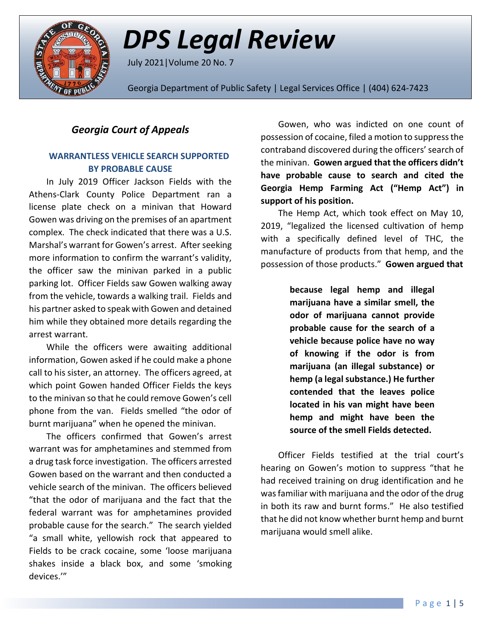

*DPS Legal Review*

July 2021|Volume 20 No. 7

Georgia Department of Public Safety | Legal Services Office | (404) 624-7423

## *Georgia Court of Appeals*

### **WARRANTLESS VEHICLE SEARCH SUPPORTED BY PROBABLE CAUSE**

In July 2019 Officer Jackson Fields with the Athens-Clark County Police Department ran a license plate check on a minivan that Howard Gowen was driving on the premises of an apartment complex. The check indicated that there was a U.S. Marshal's warrant for Gowen's arrest. After seeking more information to confirm the warrant's validity, the officer saw the minivan parked in a public parking lot. Officer Fields saw Gowen walking away from the vehicle, towards a walking trail. Fields and his partner asked to speak with Gowen and detained him while they obtained more details regarding the arrest warrant.

While the officers were awaiting additional information, Gowen asked if he could make a phone call to his sister, an attorney. The officers agreed, at which point Gowen handed Officer Fields the keys to the minivan so that he could remove Gowen's cell phone from the van. Fields smelled "the odor of burnt marijuana" when he opened the minivan.

The officers confirmed that Gowen's arrest warrant was for amphetamines and stemmed from a drug task force investigation. The officers arrested Gowen based on the warrant and then conducted a vehicle search of the minivan. The officers believed "that the odor of marijuana and the fact that the federal warrant was for amphetamines provided probable cause for the search." The search yielded "a small white, yellowish rock that appeared to Fields to be crack cocaine, some 'loose marijuana shakes inside a black box, and some 'smoking devices.'"

Gowen, who was indicted on one count of possession of cocaine, filed a motion to suppress the contraband discovered during the officers'search of the minivan. **Gowen argued that the officers didn't have probable cause to search and cited the Georgia Hemp Farming Act ("Hemp Act") in support of his position.** 

The Hemp Act, which took effect on May 10, 2019, "legalized the licensed cultivation of hemp with a specifically defined level of THC, the manufacture of products from that hemp, and the possession of those products." **Gowen argued that**

> **because legal hemp and illegal marijuana have a similar smell, the odor of marijuana cannot provide probable cause for the search of a vehicle because police have no way of knowing if the odor is from marijuana (an illegal substance) or hemp (a legal substance.) He further contended that the leaves police located in his van might have been hemp and might have been the source of the smell Fields detected.**

Officer Fields testified at the trial court's hearing on Gowen's motion to suppress "that he had received training on drug identification and he was familiar with marijuana and the odor of the drug in both its raw and burnt forms." He also testified that he did not know whether burnt hemp and burnt marijuana would smell alike.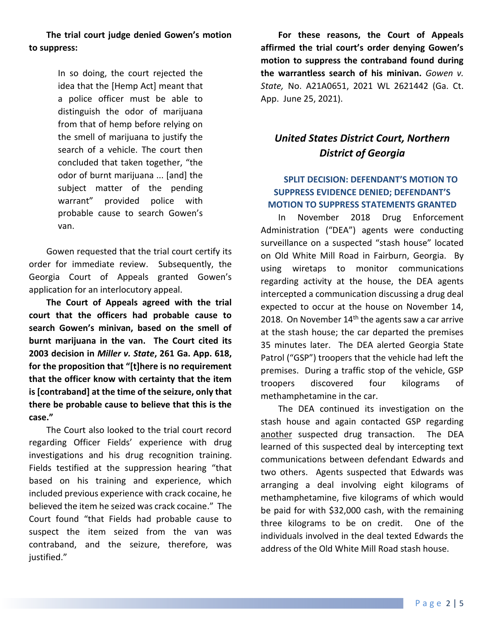**The trial court judge denied Gowen's motion to suppress:**

> In so doing, the court rejected the idea that the [Hemp Act] meant that a police officer must be able to distinguish the odor of marijuana from that of hemp before relying on the smell of marijuana to justify the search of a vehicle. The court then concluded that taken together, "the odor of burnt marijuana ... [and] the subject matter of the pending warrant" provided police with probable cause to search Gowen's van.

Gowen requested that the trial court certify its order for immediate review. Subsequently, the Georgia Court of Appeals granted Gowen's application for an interlocutory appeal.

**The Court of Appeals agreed with the trial court that the officers had probable cause to search Gowen's minivan, based on the smell of burnt marijuana in the van. The Court cited its 2003 decision in** *Miller v. State***, 261 Ga. App. 618, for the proposition that "[t]here is no requirement that the officer know with certainty that the item is [contraband] at the time of the seizure, only that there be probable cause to believe that this is the case."**

The Court also looked to the trial court record regarding Officer Fields' experience with drug investigations and his drug recognition training. Fields testified at the suppression hearing "that based on his training and experience, which included previous experience with crack cocaine, he believed the item he seized was crack cocaine." The Court found "that Fields had probable cause to suspect the item seized from the van was contraband, and the seizure, therefore, was justified."

**For these reasons, the Court of Appeals affirmed the trial court's order denying Gowen's motion to suppress the contraband found during the warrantless search of his minivan.** *Gowen v. State,* No. A21A0651, 2021 WL 2621442 (Ga. Ct. App. June 25, 2021).

# *United States District Court, Northern District of Georgia*

#### **SPLIT DECISION: DEFENDANT'S MOTION TO SUPPRESS EVIDENCE DENIED; DEFENDANT'S MOTION TO SUPPRESS STATEMENTS GRANTED**

In November 2018 Drug Enforcement Administration ("DEA") agents were conducting surveillance on a suspected "stash house" located on Old White Mill Road in Fairburn, Georgia. By using wiretaps to monitor communications regarding activity at the house, the DEA agents intercepted a communication discussing a drug deal expected to occur at the house on November 14, 2018. On November  $14<sup>th</sup>$  the agents saw a car arrive at the stash house; the car departed the premises 35 minutes later. The DEA alerted Georgia State Patrol ("GSP") troopers that the vehicle had left the premises. During a traffic stop of the vehicle, GSP troopers discovered four kilograms of methamphetamine in the car.

The DEA continued its investigation on the stash house and again contacted GSP regarding another suspected drug transaction. The DEA learned of this suspected deal by intercepting text communications between defendant Edwards and two others. Agents suspected that Edwards was arranging a deal involving eight kilograms of methamphetamine, five kilograms of which would be paid for with \$32,000 cash, with the remaining three kilograms to be on credit. One of the individuals involved in the deal texted Edwards the address of the Old White Mill Road stash house.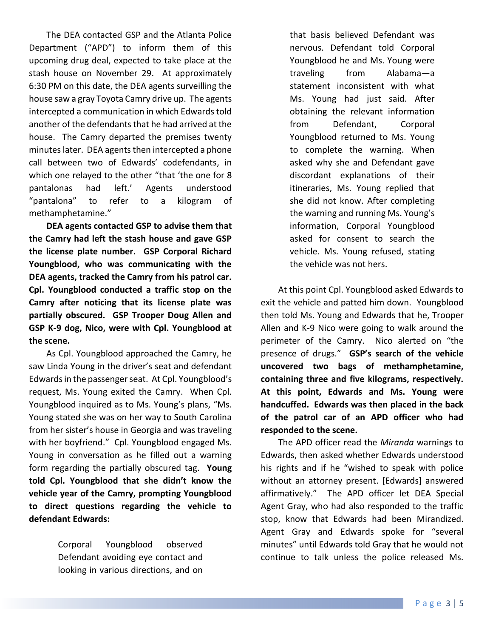The DEA contacted GSP and the Atlanta Police Department ("APD") to inform them of this upcoming drug deal, expected to take place at the stash house on November 29. At approximately 6:30 PM on this date, the DEA agents surveilling the house saw a gray Toyota Camry drive up. The agents intercepted a communication in which Edwards told another of the defendants that he had arrived at the house. The Camry departed the premises twenty minutes later. DEA agents then intercepted a phone call between two of Edwards' codefendants, in which one relayed to the other "that 'the one for 8 pantalonas had left.' Agents understood "pantalona" to refer to a kilogram of methamphetamine."

**DEA agents contacted GSP to advise them that the Camry had left the stash house and gave GSP the license plate number. GSP Corporal Richard Youngblood, who was communicating with the DEA agents, tracked the Camry from his patrol car. Cpl. Youngblood conducted a traffic stop on the Camry after noticing that its license plate was partially obscured. GSP Trooper Doug Allen and GSP K-9 dog, Nico, were with Cpl. Youngblood at the scene.**

As Cpl. Youngblood approached the Camry, he saw Linda Young in the driver's seat and defendant Edwards in the passenger seat. At Cpl. Youngblood's request, Ms. Young exited the Camry. When Cpl. Youngblood inquired as to Ms. Young's plans, "Ms. Young stated she was on her way to South Carolina from her sister's house in Georgia and was traveling with her boyfriend." Cpl. Youngblood engaged Ms. Young in conversation as he filled out a warning form regarding the partially obscured tag. **Young told Cpl. Youngblood that she didn't know the vehicle year of the Camry, prompting Youngblood to direct questions regarding the vehicle to defendant Edwards:**

> Corporal Youngblood observed Defendant avoiding eye contact and looking in various directions, and on

that basis believed Defendant was nervous. Defendant told Corporal Youngblood he and Ms. Young were traveling from Alabama—a statement inconsistent with what Ms. Young had just said. After obtaining the relevant information from Defendant, Corporal Youngblood returned to Ms. Young to complete the warning. When asked why she and Defendant gave discordant explanations of their itineraries, Ms. Young replied that she did not know. After completing the warning and running Ms. Young's information, Corporal Youngblood asked for consent to search the vehicle. Ms. Young refused, stating the vehicle was not hers.

At this point Cpl. Youngblood asked Edwards to exit the vehicle and patted him down. Youngblood then told Ms. Young and Edwards that he, Trooper Allen and K-9 Nico were going to walk around the perimeter of the Camry. Nico alerted on "the presence of drugs." **GSP's search of the vehicle uncovered two bags of methamphetamine, containing three and five kilograms, respectively. At this point, Edwards and Ms. Young were handcuffed. Edwards was then placed in the back of the patrol car of an APD officer who had responded to the scene.**

The APD officer read the *Miranda* warnings to Edwards, then asked whether Edwards understood his rights and if he "wished to speak with police without an attorney present. [Edwards] answered affirmatively." The APD officer let DEA Special Agent Gray, who had also responded to the traffic stop, know that Edwards had been Mirandized. Agent Gray and Edwards spoke for "several minutes" until Edwards told Gray that he would not continue to talk unless the police released Ms.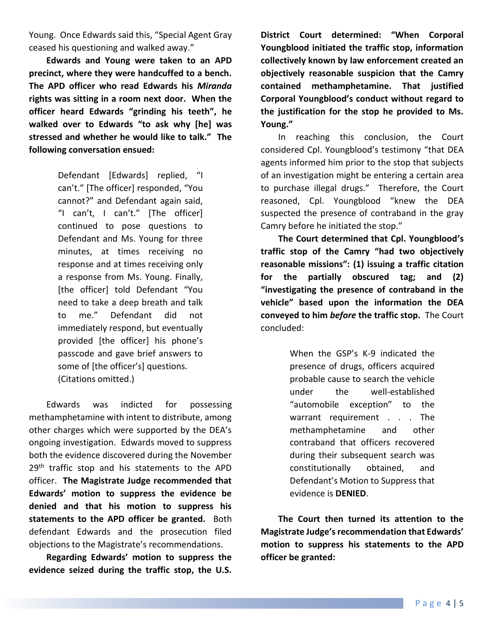Young. Once Edwards said this, "Special Agent Gray ceased his questioning and walked away."

**Edwards and Young were taken to an APD precinct, where they were handcuffed to a bench. The APD officer who read Edwards his** *Miranda* **rights was sitting in a room next door. When the officer heard Edwards "grinding his teeth", he walked over to Edwards "to ask why [he] was stressed and whether he would like to talk." The following conversation ensued:**

> Defendant [Edwards] replied, "I can't." [The officer] responded, "You cannot?" and Defendant again said, "I can't, I can't." [The officer] continued to pose questions to Defendant and Ms. Young for three minutes, at times receiving no response and at times receiving only a response from Ms. Young. Finally, [the officer] told Defendant "You need to take a deep breath and talk to me." Defendant did not immediately respond, but eventually provided [the officer] his phone's passcode and gave brief answers to some of [the officer's] questions. (Citations omitted.)

Edwards was indicted for possessing methamphetamine with intent to distribute, among other charges which were supported by the DEA's ongoing investigation. Edwards moved to suppress both the evidence discovered during the November 29<sup>th</sup> traffic stop and his statements to the APD officer. **The Magistrate Judge recommended that Edwards' motion to suppress the evidence be denied and that his motion to suppress his statements to the APD officer be granted.** Both defendant Edwards and the prosecution filed objections to the Magistrate's recommendations.

**Regarding Edwards' motion to suppress the evidence seized during the traffic stop, the U.S.** 

**District Court determined: "When Corporal Youngblood initiated the traffic stop, information collectively known by law enforcement created an objectively reasonable suspicion that the Camry contained methamphetamine. That justified Corporal Youngblood's conduct without regard to the justification for the stop he provided to Ms. Young."**

In reaching this conclusion, the Court considered Cpl. Youngblood's testimony "that DEA agents informed him prior to the stop that subjects of an investigation might be entering a certain area to purchase illegal drugs." Therefore, the Court reasoned, Cpl. Youngblood "knew the DEA suspected the presence of contraband in the gray Camry before he initiated the stop."

**The Court determined that Cpl. Youngblood's traffic stop of the Camry "had two objectively reasonable missions": (1) issuing a traffic citation for the partially obscured tag; and (2) "investigating the presence of contraband in the vehicle" based upon the information the DEA conveyed to him** *before* **the traffic stop.** The Court concluded:

> When the GSP's K-9 indicated the presence of drugs, officers acquired probable cause to search the vehicle under the well-established "automobile exception" to the warrant requirement . . . The methamphetamine and other contraband that officers recovered during their subsequent search was constitutionally obtained, and Defendant's Motion to Suppress that evidence is **DENIED**.

**The Court then turned its attention to the Magistrate Judge's recommendation that Edwards' motion to suppress his statements to the APD officer be granted:**